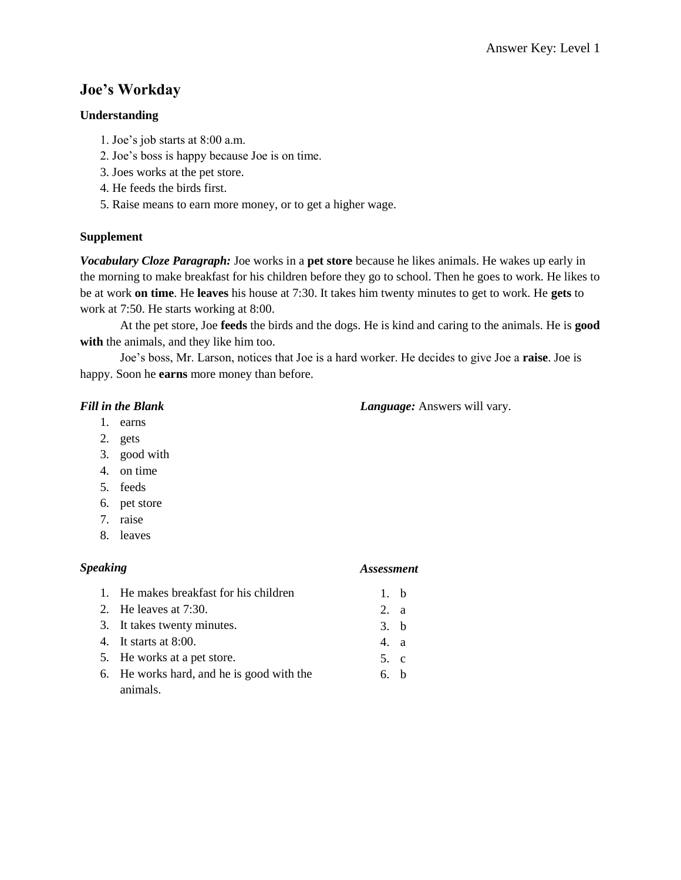# **Joe's Workday**

### **Understanding**

- 1. Joe's job starts at 8:00 a.m.
- 2. Joe's boss is happy because Joe is on time.
- 3. Joes works at the pet store.
- 4. He feeds the birds first.
- 5. Raise means to earn more money, or to get a higher wage.

# **Supplement**

*Vocabulary Cloze Paragraph:* Joe works in a **pet store** because he likes animals. He wakes up early in the morning to make breakfast for his children before they go to school. Then he goes to work. He likes to be at work **on time**. He **leaves** his house at 7:30. It takes him twenty minutes to get to work. He **gets** to work at 7:50. He starts working at 8:00.

At the pet store, Joe **feeds** the birds and the dogs. He is kind and caring to the animals. He is **good with** the animals, and they like him too.

Joe's boss, Mr. Larson, notices that Joe is a hard worker. He decides to give Joe a **raise**. Joe is happy. Soon he **earns** more money than before.

### *Fill in the Blank*

*Language:* Answers will vary.

- 1. earns
- 2. gets
- 3. good with
- 4. on time
- 5. feeds
- 6. pet store
- 7. raise
- 8. leaves

# *Speaking*

| 1. He makes breakfast for his children    | $1-h$ |  |
|-------------------------------------------|-------|--|
| 2. He leaves at $7:30$ .                  | 2. a  |  |
| 3. It takes twenty minutes.               | $3-h$ |  |
| 4. It starts at $8:00$ .                  | 4. a  |  |
| 5. He works at a pet store.               | 5. c  |  |
| 6. He works hard, and he is good with the | 6. h  |  |
| animals.                                  |       |  |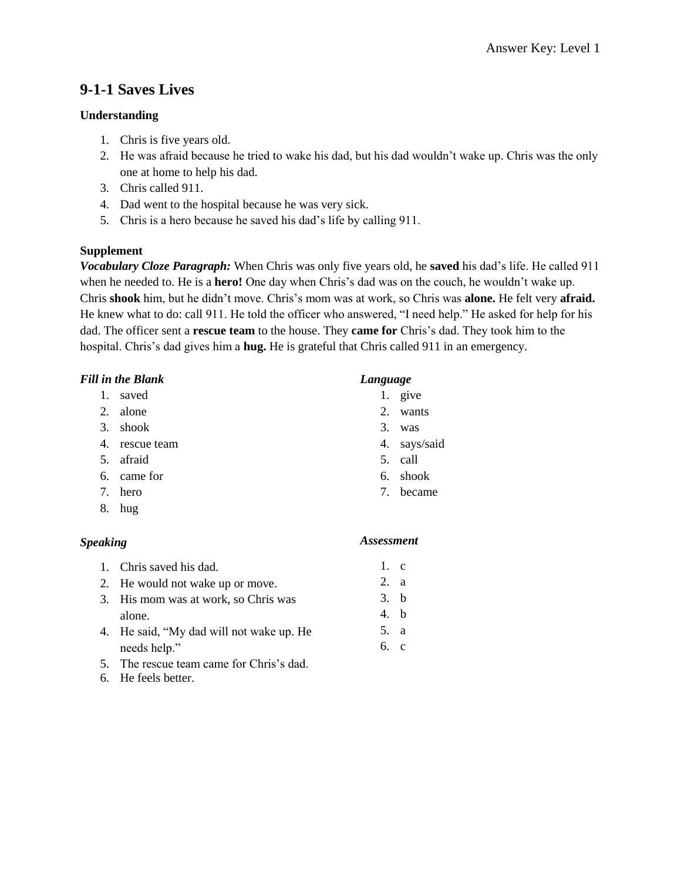# **9-1-1 Saves Lives**

### **Understanding**

- 1. Chris is five years old.
- 2. He was afraid because he tried to wake his dad, but his dad wouldn't wake up. Chris was the only one at home to help his dad.
- 3. Chris called 911.
- 4. Dad went to the hospital because he was very sick.
- 5. Chris is a hero because he saved his dad's life by calling 911.

# **Supplement**

*Vocabulary Cloze Paragraph:* When Chris was only five years old, he **saved** his dad's life. He called 911 when he needed to. He is a **hero!** One day when Chris's dad was on the couch, he wouldn't wake up. Chris **shook** him, but he didn't move. Chris's mom was at work, so Chris was **alone.** He felt very **afraid.** He knew what to do: call 911. He told the officer who answered, "I need help." He asked for help for his dad. The officer sent a **rescue team** to the house. They **came for** Chris's dad. They took him to the hospital. Chris's dad gives him a **hug.** He is grateful that Chris called 911 in an emergency.

# *Fill in the Blank*

- 1. saved
- 2. alone
- 3. shook
- 4. rescue team
- 5. afraid
- 6. came for
- 7. hero
- 8. hug

# *Speaking*

- 1. Chris saved his dad.
- 2. He would not wake up or move.
- 3. His mom was at work, so Chris was alone.
- 4. He said, "My dad will not wake up. He needs help."
- 5. The rescue team came for Chris's dad.
- 6. He feels better.

# *Language*

- 1. give
- 2. wants
- 3. was
- 4. says/said
- 5. call
- 6. shook
- 7. became

#### *Assessment*

1. c 2. a 3. b 4. b 5. a 6. c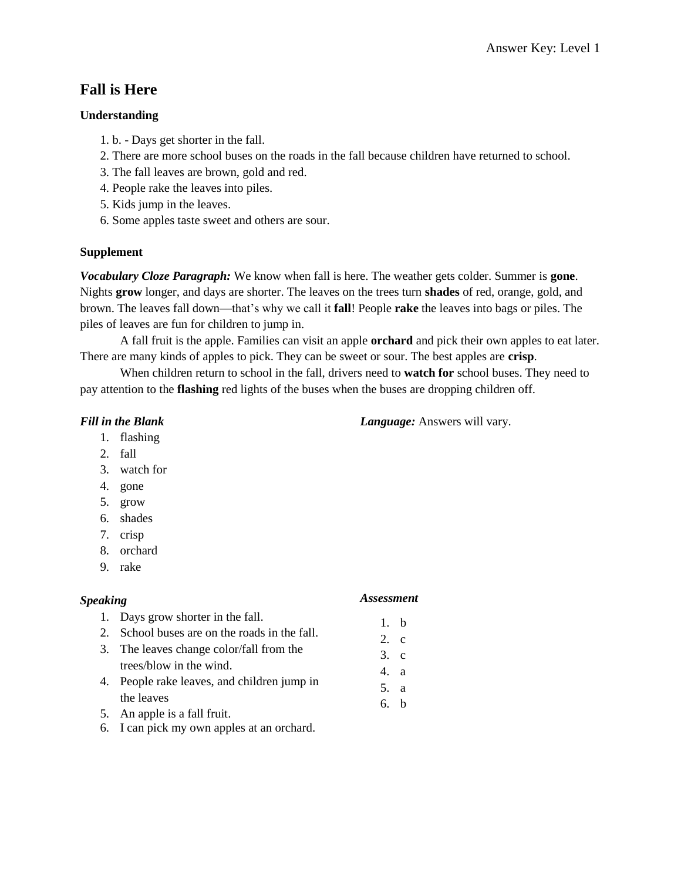# **Fall is Here**

# **Understanding**

- 1. b. Days get shorter in the fall.
- 2. There are more school buses on the roads in the fall because children have returned to school.
- 3. The fall leaves are brown, gold and red.
- 4. People rake the leaves into piles.
- 5. Kids jump in the leaves.
- 6. Some apples taste sweet and others are sour.

### **Supplement**

*Vocabulary Cloze Paragraph:* We know when fall is here. The weather gets colder. Summer is **gone**. Nights **grow** longer, and days are shorter. The leaves on the trees turn **shades** of red, orange, gold, and brown. The leaves fall down—that's why we call it **fall**! People **rake** the leaves into bags or piles. The piles of leaves are fun for children to jump in.

A fall fruit is the apple. Families can visit an apple **orchard** and pick their own apples to eat later. There are many kinds of apples to pick. They can be sweet or sour. The best apples are **crisp**.

When children return to school in the fall, drivers need to **watch for** school buses. They need to pay attention to the **flashing** red lights of the buses when the buses are dropping children off.

# *Fill in the Blank*

- 1. flashing
- 2. fall
- 3. watch for
- 4. gone
- 5. grow
- 6. shades
- 7. crisp
- 8. orchard
- 9. rake

### *Speaking*

### *Assessment*

1. b 2. c 3. c 4. a 5. a 6. b

*Language:* Answers will vary.

- 1. Days grow shorter in the fall.
- 2. School buses are on the roads in the fall.
- 3. The leaves change color/fall from the trees/blow in the wind.
- 4. People rake leaves, and children jump in the leaves
- 5. An apple is a fall fruit.
- 6. I can pick my own apples at an orchard.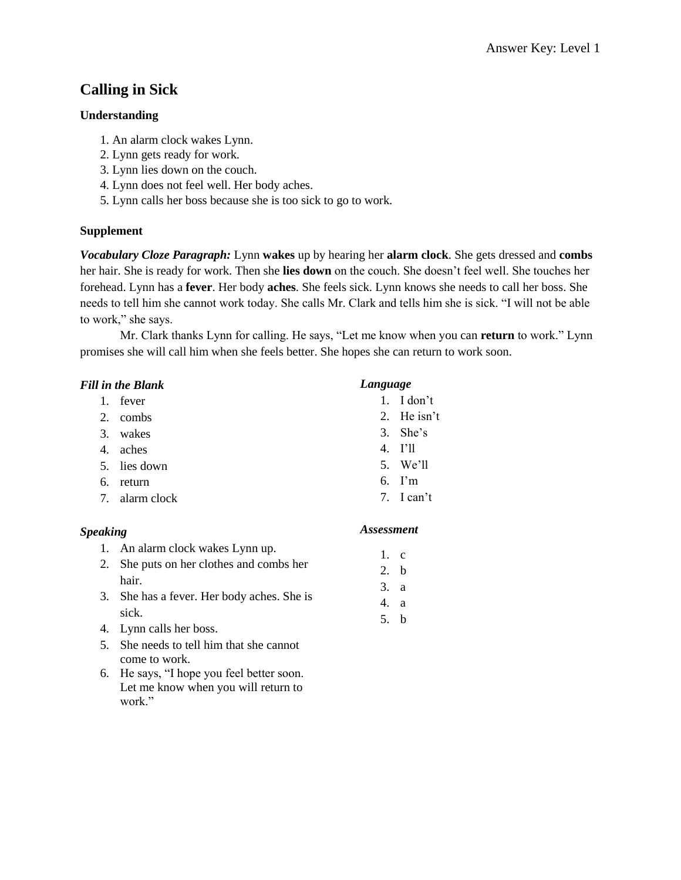# **Calling in Sick**

#### **Understanding**

- 1. An alarm clock wakes Lynn.
- 2. Lynn gets ready for work.
- 3. Lynn lies down on the couch.
- 4. Lynn does not feel well. Her body aches.
- 5. Lynn calls her boss because she is too sick to go to work.

#### **Supplement**

*Vocabulary Cloze Paragraph:* Lynn **wakes** up by hearing her **alarm clock**. She gets dressed and **combs** her hair. She is ready for work. Then she **lies down** on the couch. She doesn't feel well. She touches her forehead. Lynn has a **fever**. Her body **aches**. She feels sick. Lynn knows she needs to call her boss. She needs to tell him she cannot work today. She calls Mr. Clark and tells him she is sick. "I will not be able to work," she says.

Mr. Clark thanks Lynn for calling. He says, "Let me know when you can **return** to work." Lynn promises she will call him when she feels better. She hopes she can return to work soon.

*Language*

*Assessment*

1. c 2. b 3. a 4. a 5. b

|  |  |  | <b>Fill in the Blank</b> |
|--|--|--|--------------------------|
|--|--|--|--------------------------|

| и иние ршик    | Lunguuge    |
|----------------|-------------|
| 1. fever       | 1. I don't  |
| 2. combs       | 2. He isn't |
| 3. wakes       | 3. She's    |
| 4. aches       | 4. I'll     |
| 5. lies down   | 5. We'll    |
| 6. return      | 6. I'm      |
| 7. alarm clock | 7. I can't  |

#### *Speaking*

- 1. An alarm clock wakes Lynn up.
- 2. She puts on her clothes and combs her hair.
- 3. She has a fever. Her body aches. She is sick.
- 4. Lynn calls her boss.
- 5. She needs to tell him that she cannot come to work.
- 6. He says, "I hope you feel better soon. Let me know when you will return to work."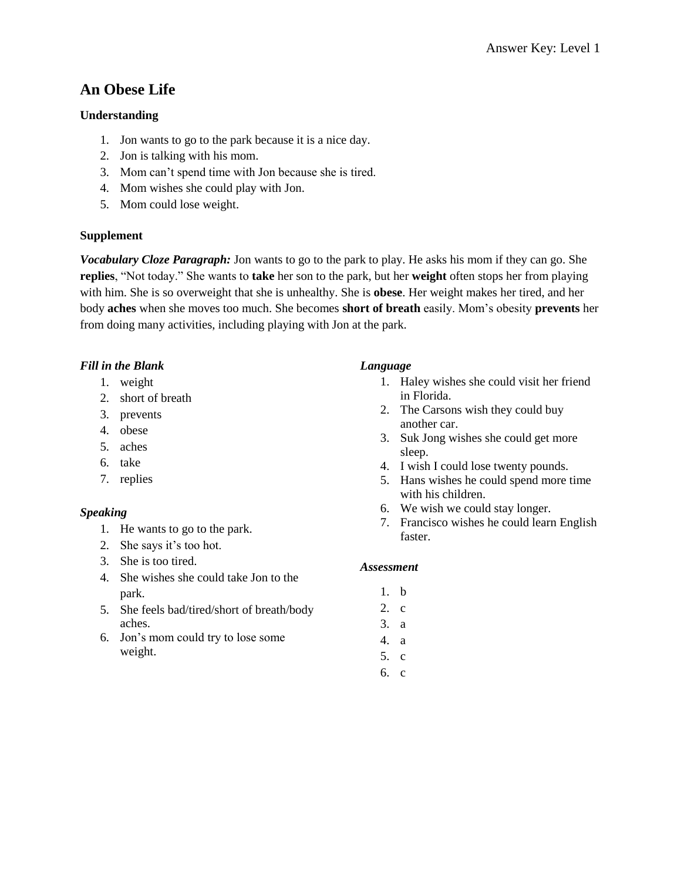# **An Obese Life**

### **Understanding**

- 1. Jon wants to go to the park because it is a nice day.
- 2. Jon is talking with his mom.
- 3. Mom can't spend time with Jon because she is tired.
- 4. Mom wishes she could play with Jon.
- 5. Mom could lose weight.

### **Supplement**

*Vocabulary Cloze Paragraph:* Jon wants to go to the park to play. He asks his mom if they can go. She **replies**, "Not today." She wants to **take** her son to the park, but her **weight** often stops her from playing with him. She is so overweight that she is unhealthy. She is **obese**. Her weight makes her tired, and her body **aches** when she moves too much. She becomes **short of breath** easily. Mom's obesity **prevents** her from doing many activities, including playing with Jon at the park.

# *Fill in the Blank*

- 1. weight
- 2. short of breath
- 3. prevents
- 4. obese
- 5. aches
- 6. take
- 7. replies

# *Speaking*

- 1. He wants to go to the park.
- 2. She says it's too hot.
- 3. She is too tired.
- 4. She wishes she could take Jon to the park.
- 5. She feels bad/tired/short of breath/body aches.
- 6. Jon's mom could try to lose some weight.

# *Language*

- 1. Haley wishes she could visit her friend in Florida.
- 2. The Carsons wish they could buy another car.
- 3. Suk Jong wishes she could get more sleep.
- 4. I wish I could lose twenty pounds.
- 5. Hans wishes he could spend more time with his children.
- 6. We wish we could stay longer.
- 7. Francisco wishes he could learn English faster.

- 1. b
- $2 \quad c$
- 3. a
- 4. a
- 5. c
- 6. c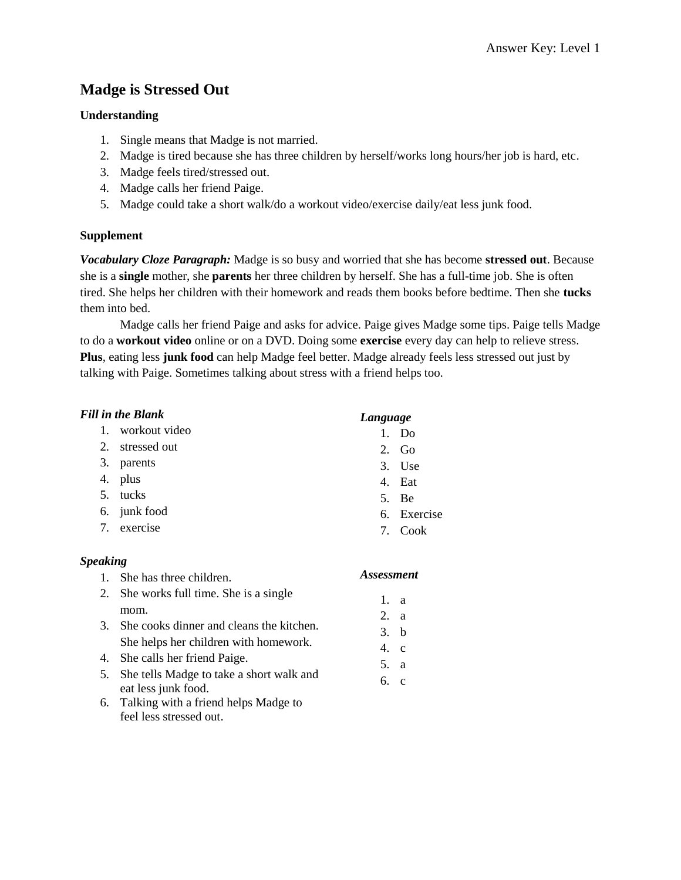# **Madge is Stressed Out**

### **Understanding**

- 1. Single means that Madge is not married.
- 2. Madge is tired because she has three children by herself/works long hours/her job is hard, etc.
- 3. Madge feels tired/stressed out.
- 4. Madge calls her friend Paige.
- 5. Madge could take a short walk/do a workout video/exercise daily/eat less junk food.

# **Supplement**

*Vocabulary Cloze Paragraph:* Madge is so busy and worried that she has become **stressed out**. Because she is a **single** mother, she **parents** her three children by herself. She has a full-time job. She is often tired. She helps her children with their homework and reads them books before bedtime. Then she **tucks** them into bed.

Madge calls her friend Paige and asks for advice. Paige gives Madge some tips. Paige tells Madge to do a **workout video** online or on a DVD. Doing some **exercise** every day can help to relieve stress. **Plus**, eating less **junk food** can help Madge feel better. Madge already feels less stressed out just by talking with Paige. Sometimes talking about stress with a friend helps too.

### *Fill in the Blank*

| workout video |  |
|---------------|--|
|               |  |

- 2. stressed out
- 3. parents
- 4. plus
- 5. tucks
- 6. junk food
- 7. exercise

### *Speaking*

- 1. She has three children.
- 2. She works full time. She is a single mom.
- 3. She cooks dinner and cleans the kitchen. She helps her children with homework.
- 4. She calls her friend Paige.
- 5. She tells Madge to take a short walk and eat less junk food.
- 6. Talking with a friend helps Madge to feel less stressed out.

#### *Language*

- 1. Do
- 2.  $Go$
- 3. Use
- 4. Eat
- 5. Be
- 6. Exercise
- 7. Cook

### *Assessment*

1. a 2. a 3. b 4. c 5. a 6. c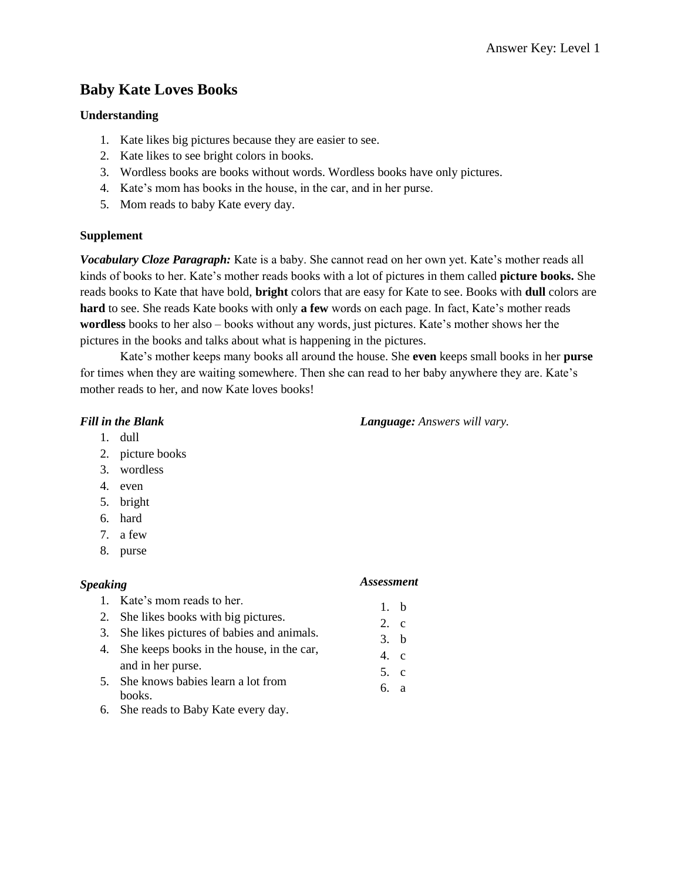# **Baby Kate Loves Books**

#### **Understanding**

- 1. Kate likes big pictures because they are easier to see.
- 2. Kate likes to see bright colors in books.
- 3. Wordless books are books without words. Wordless books have only pictures.
- 4. Kate's mom has books in the house, in the car, and in her purse.
- 5. Mom reads to baby Kate every day.

#### **Supplement**

*Vocabulary Cloze Paragraph:* Kate is a baby. She cannot read on her own yet. Kate's mother reads all kinds of books to her. Kate's mother reads books with a lot of pictures in them called **picture books.** She reads books to Kate that have bold, **bright** colors that are easy for Kate to see. Books with **dull** colors are **hard** to see. She reads Kate books with only **a few** words on each page. In fact, Kate's mother reads **wordless** books to her also – books without any words, just pictures. Kate's mother shows her the pictures in the books and talks about what is happening in the pictures.

Kate's mother keeps many books all around the house. She **even** keeps small books in her **purse** for times when they are waiting somewhere. Then she can read to her baby anywhere they are. Kate's mother reads to her, and now Kate loves books!

#### *Fill in the Blank*

- 1. dull
- 2. picture books
- 3. wordless
- 4. even
- 5. bright
- 6. hard
- 7. a few
- 8. purse

#### *Speaking*

#### *Assessment*

2. c 3. b 4. c 5. c 6. a

*Language: Answers will vary.*

- 1. Kate's mom reads to her. 1. b
- 2. She likes books with big pictures. 3. She likes pictures of babies and animals.
- 4. She keeps books in the house, in the car,
- and in her purse.
- 5. She knows babies learn a lot from books.
- 6. She reads to Baby Kate every day.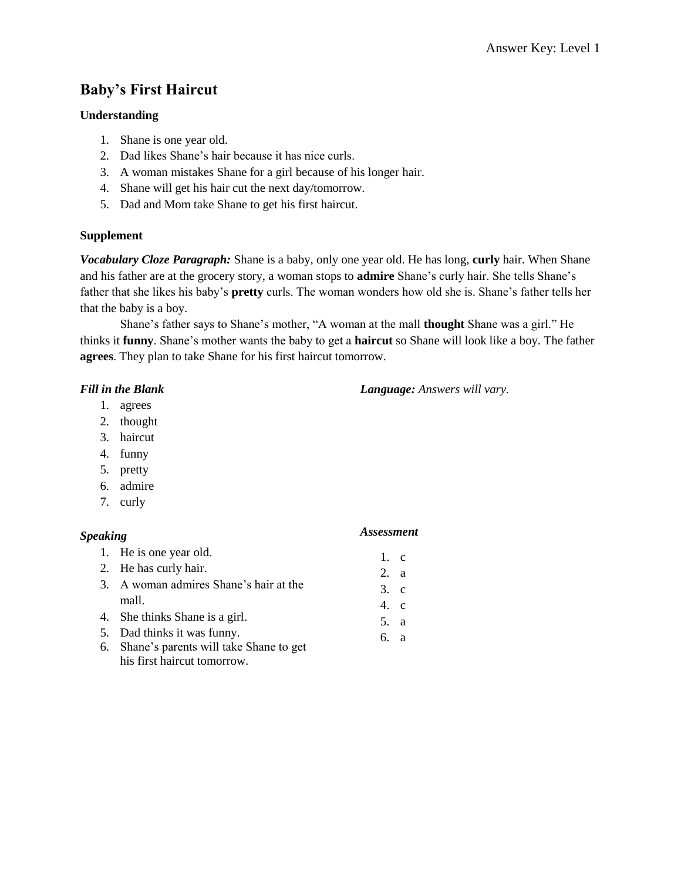# **Baby's First Haircut**

### **Understanding**

- 1. Shane is one year old.
- 2. Dad likes Shane's hair because it has nice curls.
- 3. A woman mistakes Shane for a girl because of his longer hair.
- 4. Shane will get his hair cut the next day/tomorrow.
- 5. Dad and Mom take Shane to get his first haircut.

### **Supplement**

*Vocabulary Cloze Paragraph:* Shane is a baby, only one year old. He has long, **curly** hair. When Shane and his father are at the grocery story, a woman stops to **admire** Shane's curly hair. She tells Shane's father that she likes his baby's **pretty** curls. The woman wonders how old she is. Shane's father tells her that the baby is a boy.

Shane's father says to Shane's mother, "A woman at the mall **thought** Shane was a girl." He thinks it **funny**. Shane's mother wants the baby to get a **haircut** so Shane will look like a boy. The father **agrees**. They plan to take Shane for his first haircut tomorrow.

### *Fill in the Blank*

- 1. agrees
- 2. thought
- 3. haircut
- 4. funny
- 5. pretty
- 6. admire
- 7. curly

#### *Speaking* 1. He is one year old. 2. He has curly hair. 3. A woman admires Shane's hair at the mall. 4. She thinks Shane is a girl. 5. Dad thinks it was funny. 6. Shane's parents will take Shane to get his first haircut tomorrow. *Assessment* 1. c 2. a 3. c 4. c 5. a 6. a

#### *Language: Answers will vary.*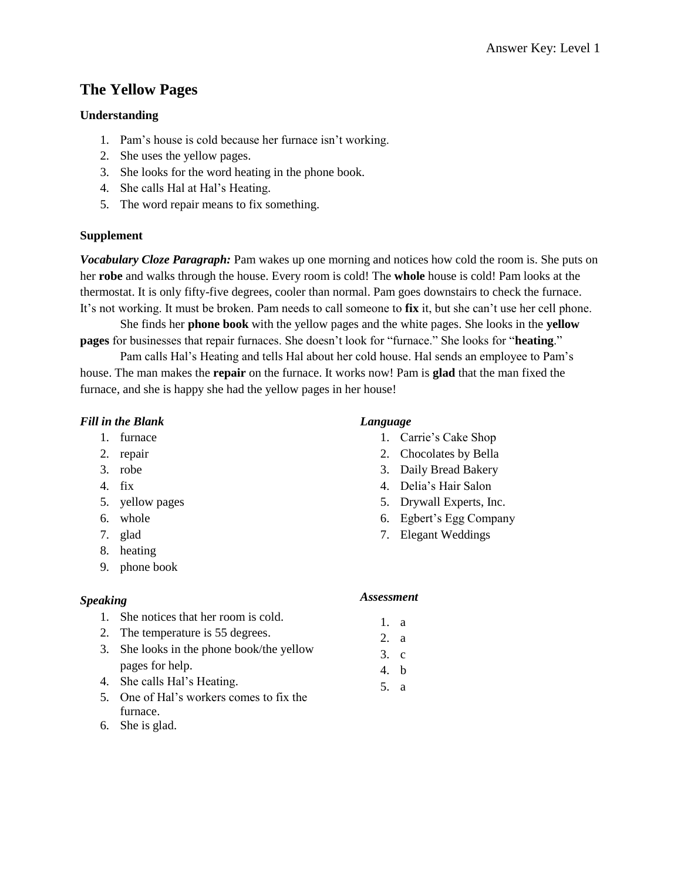# **The Yellow Pages**

# **Understanding**

- 1. Pam's house is cold because her furnace isn't working.
- 2. She uses the yellow pages.
- 3. She looks for the word heating in the phone book.
- 4. She calls Hal at Hal's Heating.
- 5. The word repair means to fix something.

# **Supplement**

*Vocabulary Cloze Paragraph:* Pam wakes up one morning and notices how cold the room is. She puts on her **robe** and walks through the house. Every room is cold! The **whole** house is cold! Pam looks at the thermostat. It is only fifty-five degrees, cooler than normal. Pam goes downstairs to check the furnace. It's not working. It must be broken. Pam needs to call someone to **fix** it, but she can't use her cell phone.

She finds her **phone book** with the yellow pages and the white pages. She looks in the **yellow pages** for businesses that repair furnaces. She doesn't look for "furnace." She looks for "**heating**."

Pam calls Hal's Heating and tells Hal about her cold house. Hal sends an employee to Pam's house. The man makes the **repair** on the furnace. It works now! Pam is **glad** that the man fixed the furnace, and she is happy she had the yellow pages in her house!

# *Fill in the Blank*

- 1. furnace
- 2. repair
- 3. robe
- 4. fix
- 5. yellow pages
- 6. whole
- 7. glad
- 8. heating
- 9. phone book

# *Speaking*

- 1. She notices that her room is cold.
- 2. The temperature is 55 degrees.
- 3. She looks in the phone book/the yellow pages for help.
- 4. She calls Hal's Heating.
- 5. One of Hal's workers comes to fix the furnace.
- 6. She is glad.

#### *Language*

- 1. Carrie's Cake Shop
- 2. Chocolates by Bella
- 3. Daily Bread Bakery
- 4. Delia's Hair Salon
- 5. Drywall Experts, Inc.
- 6. Egbert's Egg Company
- 7. Elegant Weddings

- 1. a
- 2. a
- 3. c
- 4. b
- 5. a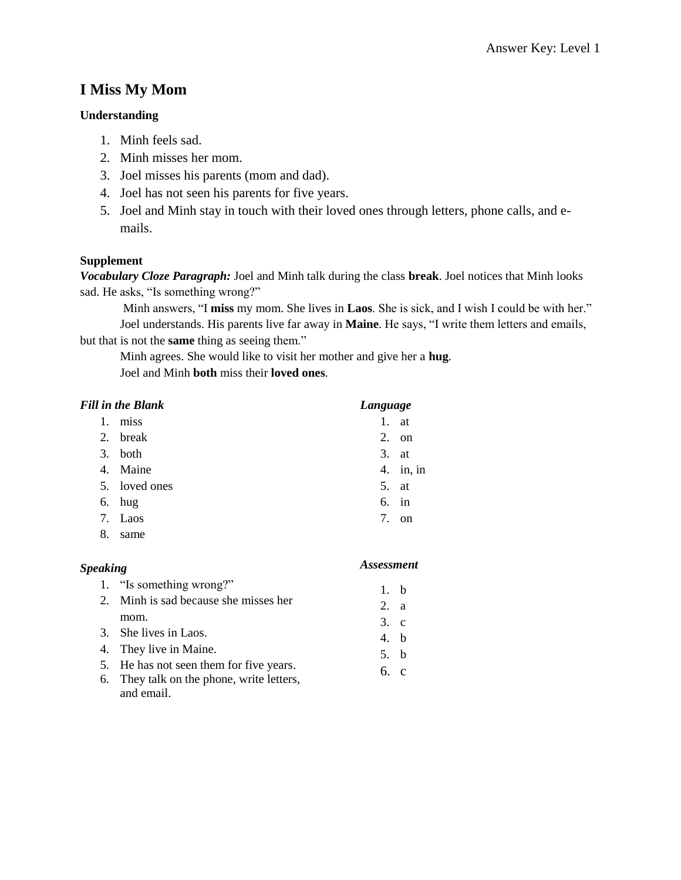# **I Miss My Mom**

### **Understanding**

- 1. Minh feels sad.
- 2. Minh misses her mom.
- 3. Joel misses his parents (mom and dad).
- 4. Joel has not seen his parents for five years.
- 5. Joel and Minh stay in touch with their loved ones through letters, phone calls, and emails.

### **Supplement**

*Vocabulary Cloze Paragraph:* Joel and Minh talk during the class **break**. Joel notices that Minh looks sad. He asks, "Is something wrong?"

Minh answers, "I **miss** my mom. She lives in **Laos**. She is sick, and I wish I could be with her." Joel understands. His parents live far away in **Maine**. He says, "I write them letters and emails,

but that is not the **same** thing as seeing them."

Minh agrees. She would like to visit her mother and give her a **hug**. Joel and Minh **both** miss their **loved ones**.

| <b>Fill in the Blank</b>                  |                | Language |               |
|-------------------------------------------|----------------|----------|---------------|
| 1.                                        | miss           | 1.       | at            |
|                                           | 2. break       |          | $2. \quad$ on |
| 3.                                        | both           | $3.$ at  |               |
| 4.                                        | Maine          |          | 4. in, in     |
|                                           | 5. loved ones  | 5. at    |               |
|                                           | $6. \quad hug$ | $6.$ in  |               |
| $7_{\scriptscriptstyle{\ddot{\text{c}}}}$ | Laos           | 7        | $\Omega$      |
|                                           |                |          |               |

8. same

| <b>Speaking</b> |                                                         | <i>Assessment</i> |  |
|-----------------|---------------------------------------------------------|-------------------|--|
|                 | 1. "Is something wrong?"                                | 1. b              |  |
|                 | 2. Minh is sad because she misses her                   | 2. a              |  |
|                 | mom.                                                    | 3. c              |  |
|                 | 3. She lives in Laos.                                   | 4. b              |  |
|                 | 4. They live in Maine.                                  | 5. h              |  |
|                 | 5. He has not seen them for five years.                 | 6. с              |  |
|                 | 6. They talk on the phone, write letters,<br>and email. |                   |  |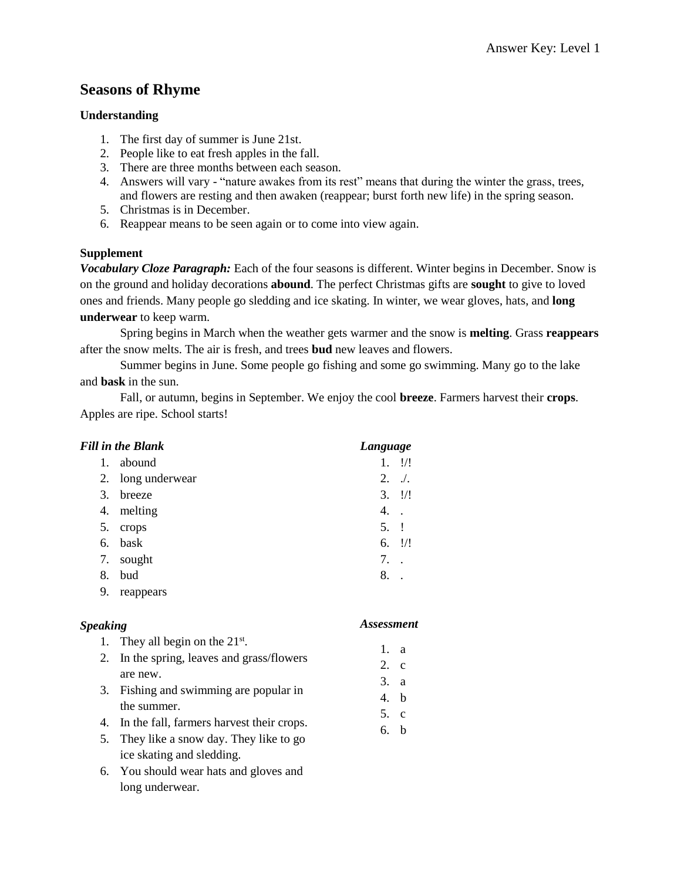# **Seasons of Rhyme**

#### **Understanding**

- 1. The first day of summer is June 21st.
- 2. People like to eat fresh apples in the fall.
- 3. There are three months between each season.
- 4. Answers will vary "nature awakes from its rest" means that during the winter the grass, trees, and flowers are resting and then awaken (reappear; burst forth new life) in the spring season.
- 5. Christmas is in December.
- 6. Reappear means to be seen again or to come into view again.

#### **Supplement**

*Vocabulary Cloze Paragraph:* Each of the four seasons is different. Winter begins in December. Snow is on the ground and holiday decorations **abound**. The perfect Christmas gifts are **sought** to give to loved ones and friends. Many people go sledding and ice skating. In winter, we wear gloves, hats, and **long underwear** to keep warm.

Spring begins in March when the weather gets warmer and the snow is **melting**. Grass **reappears** after the snow melts. The air is fresh, and trees **bud** new leaves and flowers.

Summer begins in June. Some people go fishing and some go swimming. Many go to the lake and **bask** in the sun.

Fall, or autumn, begins in September. We enjoy the cool **breeze**. Farmers harvest their **crops**. Apples are ripe. School starts!

| <b>Fill in the Blank</b> |                   | Language            |
|--------------------------|-------------------|---------------------|
| 1.                       | abound            | 1.<br>!/!           |
|                          | 2. long underwear | 2.<br>$\frac{1}{2}$ |
| 3.                       | breeze            | $3.$ !/!            |
| 4.                       | melting           | 4.                  |
| 5.                       | crops             | 5.                  |
| 6.                       | bask              | $6.$ !/!            |
| 7.                       | sought            | 7.                  |
| 8.                       | bud               | 8.                  |
| 9.                       | reappears         |                     |

### *Speaking*

| <i><b>Assessment</b></i> |
|--------------------------|
|--------------------------|

5. c 6. b

- 1. They all begin on the  $21^{st}$ . 2. In the spring, leaves and grass/flowers are new. 1. a 2. c 3. a 4. b
- 3. Fishing and swimming are popular in the summer.
- 4. In the fall, farmers harvest their crops.
- 5. They like a snow day. They like to go ice skating and sledding.
- 6. You should wear hats and gloves and long underwear.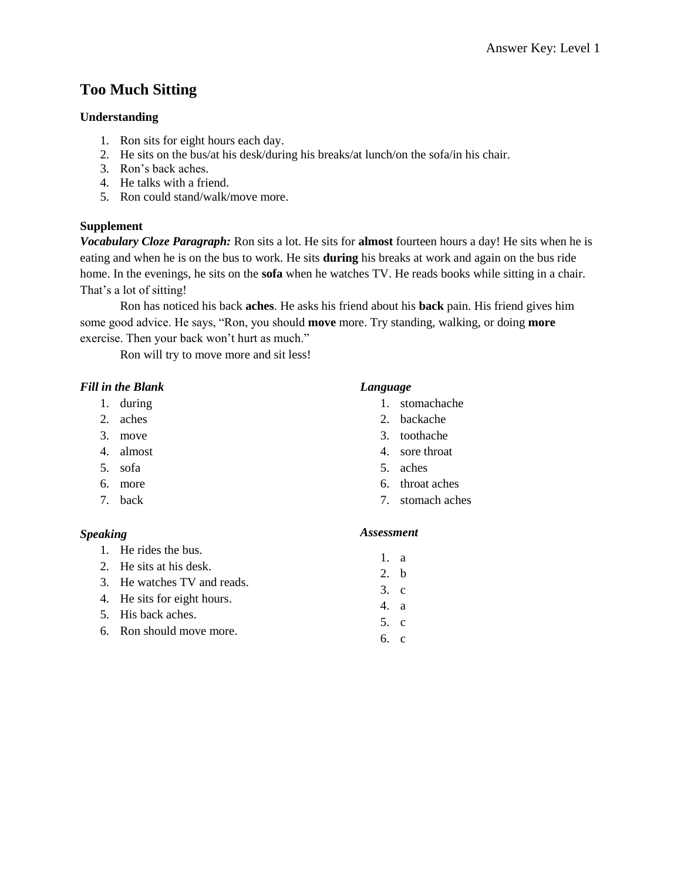# **Too Much Sitting**

### **Understanding**

- 1. Ron sits for eight hours each day.
- 2. He sits on the bus/at his desk/during his breaks/at lunch/on the sofa/in his chair.
- 3. Ron's back aches.
- 4. He talks with a friend.
- 5. Ron could stand/walk/move more.

# **Supplement**

*Vocabulary Cloze Paragraph:* Ron sits a lot. He sits for **almost** fourteen hours a day! He sits when he is eating and when he is on the bus to work. He sits **during** his breaks at work and again on the bus ride home. In the evenings, he sits on the **sofa** when he watches TV. He reads books while sitting in a chair. That's a lot of sitting!

Ron has noticed his back **aches**. He asks his friend about his **back** pain. His friend gives him some good advice. He says, "Ron, you should **move** more. Try standing, walking, or doing **more** exercise. Then your back won't hurt as much."

Ron will try to move more and sit less!

# *Fill in the Blank*

- 1. during
- 2. aches
- 3. move
- 4. almost
- 5. sofa
- 6. more
- 7. back

### *Speaking*

- 1. He rides the bus.
- 2. He sits at his desk.
- 3. He watches TV and reads.
- 4. He sits for eight hours.
- 5. His back aches.
- 6. Ron should move more.

#### *Language*

- 1. stomachache
- 2. backache
- 3. toothache
- 4. sore throat
- 5. aches
- 6. throat aches
- 7. stomach aches

- 1. a
- 2. b
- 3. c
- 4. a
	- 5. c
	- 6. c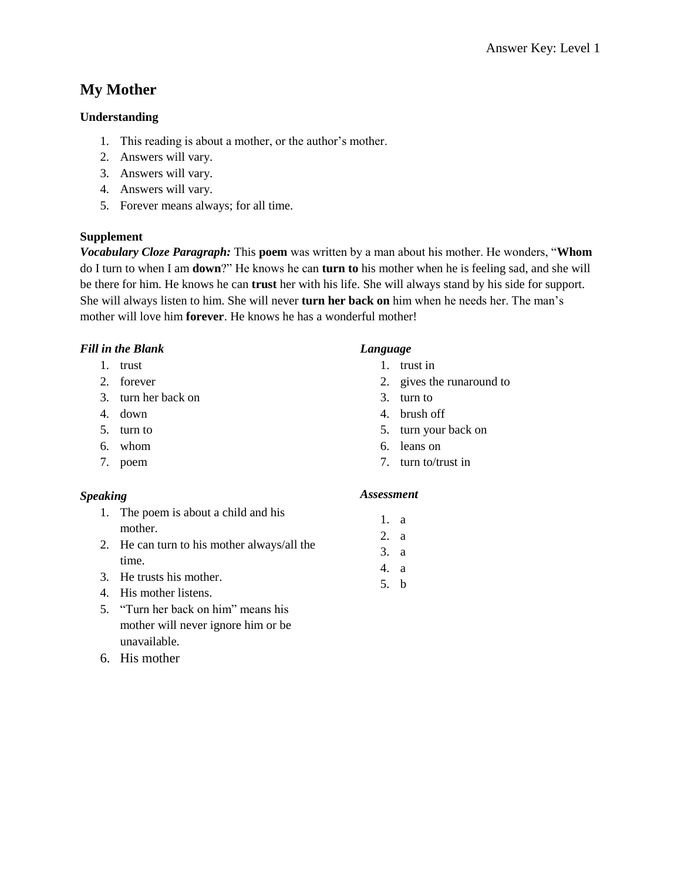# **My Mother**

### **Understanding**

- 1. This reading is about a mother, or the author's mother.
- 2. Answers will vary.
- 3. Answers will vary.
- 4. Answers will vary.
- 5. Forever means always; for all time.

# **Supplement**

*Vocabulary Cloze Paragraph:* This **poem** was written by a man about his mother. He wonders, "**Whom** do I turn to when I am **down**?" He knows he can **turn to** his mother when he is feeling sad, and she will be there for him. He knows he can **trust** her with his life. She will always stand by his side for support. She will always listen to him. She will never **turn her back on** him when he needs her. The man's mother will love him **forever**. He knows he has a wonderful mother!

# *Fill in the Blank*

- 1. trust
- 2. forever
- 3. turn her back on
- 4. down
- 5. turn to
- 6. whom
- 7. poem

### *Speaking*

- 1. The poem is about a child and his mother.
- 2. He can turn to his mother always/all the time.
- 3. He trusts his mother.
- 4. His mother listens.
- 5. "Turn her back on him" means his mother will never ignore him or be unavailable.
- 6. His mother

### *Language*

- 1. trust in
- 2. gives the runaround to
- 3. turn to
- 4. brush off
- 5. turn your back on
- 6. leans on
- 7. turn to/trust in

- 1. a
- 2. a
- 3. a
- 4. a
- 5. b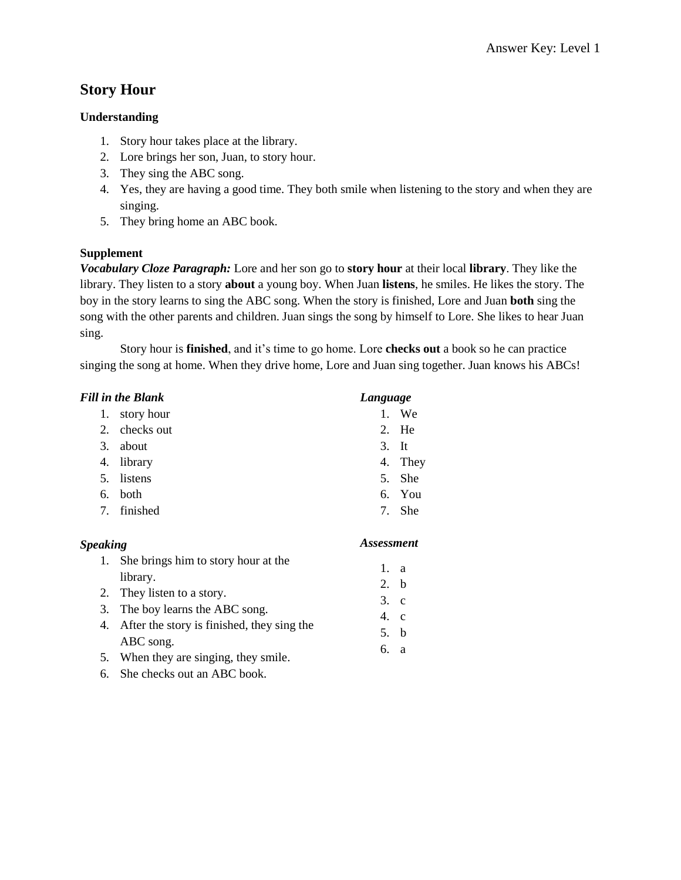# **Story Hour**

### **Understanding**

- 1. Story hour takes place at the library.
- 2. Lore brings her son, Juan, to story hour.
- 3. They sing the ABC song.
- 4. Yes, they are having a good time. They both smile when listening to the story and when they are singing.
- 5. They bring home an ABC book.

# **Supplement**

*Vocabulary Cloze Paragraph:* Lore and her son go to **story hour** at their local **library**. They like the library. They listen to a story **about** a young boy. When Juan **listens**, he smiles. He likes the story. The boy in the story learns to sing the ABC song. When the story is finished, Lore and Juan **both** sing the song with the other parents and children. Juan sings the song by himself to Lore. She likes to hear Juan sing.

Story hour is **finished**, and it's time to go home. Lore **checks out** a book so he can practice singing the song at home. When they drive home, Lore and Juan sing together. Juan knows his ABCs!

| <b>Fill in the Blank</b> |               |        | Language   |  |
|--------------------------|---------------|--------|------------|--|
| 1.                       | story hour    |        | 1. We      |  |
|                          | 2. checks out |        | 2. He      |  |
| 3.                       | about         | 3. It  |            |  |
|                          | 4. library    |        | 4. They    |  |
|                          | 5. listens    |        | 5. She     |  |
| 6.                       | <b>both</b>   |        | 6. You     |  |
| 7 <sup>7</sup>           | finished      | $\tau$ | <b>She</b> |  |
|                          |               |        |            |  |

| <b>Speaking</b> |                                                            | <i><b>Assessment</b></i> |  |
|-----------------|------------------------------------------------------------|--------------------------|--|
|                 | 1. She brings him to story hour at the<br>library.         | 1. a                     |  |
|                 | 2. They listen to a story.                                 | 2. b<br>3. c             |  |
|                 | 3. The boy learns the ABC song.                            | 4. c                     |  |
|                 | 4. After the story is finished, they sing the<br>ABC song. | $5-h$                    |  |
| 5.              | When they are singing, they smile.                         | 6. a                     |  |

6. She checks out an ABC book.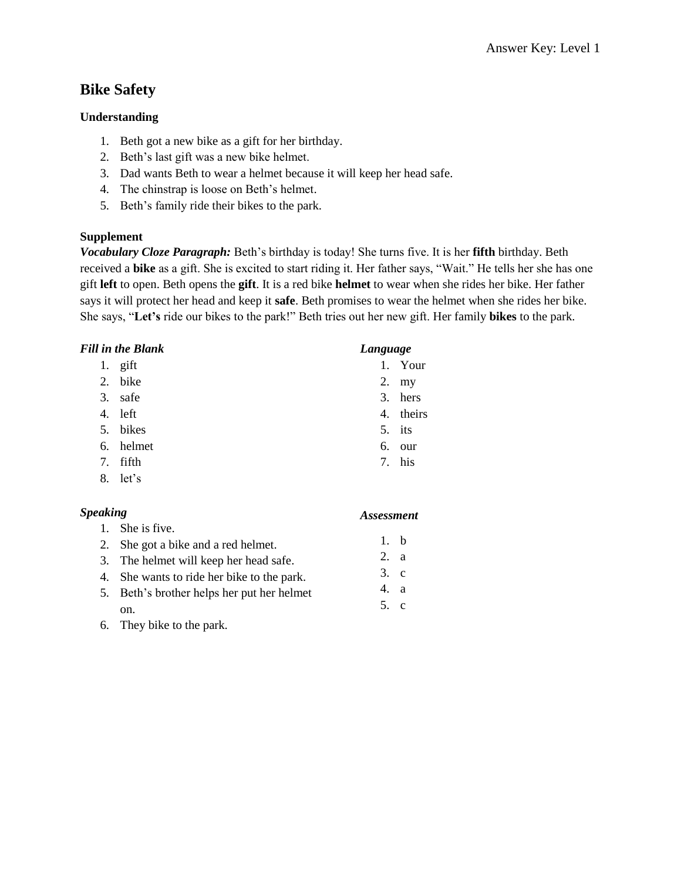# **Bike Safety**

#### **Understanding**

- 1. Beth got a new bike as a gift for her birthday.
- 2. Beth's last gift was a new bike helmet.
- 3. Dad wants Beth to wear a helmet because it will keep her head safe.
- 4. The chinstrap is loose on Beth's helmet.
- 5. Beth's family ride their bikes to the park.

#### **Supplement**

*Vocabulary Cloze Paragraph:* Beth's birthday is today! She turns five. It is her **fifth** birthday. Beth received a **bike** as a gift. She is excited to start riding it. Her father says, "Wait." He tells her she has one gift **left** to open. Beth opens the **gift**. It is a red bike **helmet** to wear when she rides her bike. Her father says it will protect her head and keep it **safe**. Beth promises to wear the helmet when she rides her bike. She says, "**Let's** ride our bikes to the park!" Beth tries out her new gift. Her family **bikes** to the park.

| <b>Fill in the Blank</b> |           | Language |                |  |
|--------------------------|-----------|----------|----------------|--|
| 1. $gift$                |           |          | 1. Your        |  |
| 2. bike                  |           |          | $2. \text{my}$ |  |
| 3. safe                  |           |          | 3. hers        |  |
| 4. left                  |           |          | 4. theirs      |  |
|                          | 5. bikes  |          | $5.$ its       |  |
|                          | 6. helmet |          | 6. our         |  |
| 7. fifth                 |           |          | 7. his         |  |
| $8.$ let's               |           |          |                |  |

| <b>Speaking</b> |                                            | <i><b>Assessment</b></i> |  |
|-----------------|--------------------------------------------|--------------------------|--|
|                 | She is five.                               |                          |  |
|                 | 2. She got a bike and a red helmet.        | $1-h$                    |  |
|                 | 3. The helmet will keep her head safe.     | 2. a                     |  |
|                 | 4. She wants to ride her bike to the park. | $3 \text{ c}$            |  |
|                 | 5. Beth's brother helps her put her helmet | 4. a                     |  |
|                 |                                            | 5 $\alpha$               |  |

6. They bike to the park.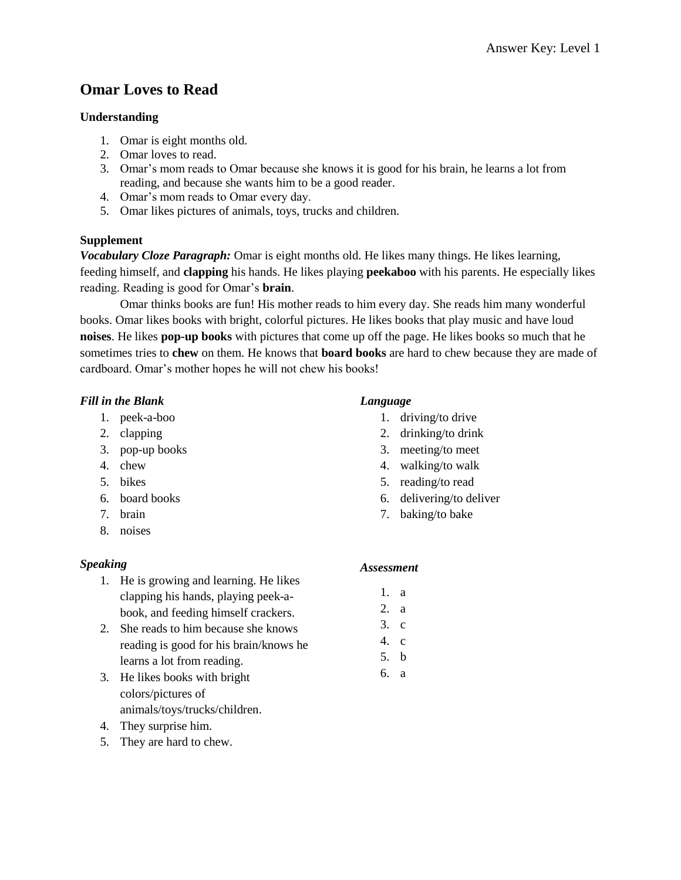# **Omar Loves to Read**

### **Understanding**

- 1. Omar is eight months old.
- 2. Omar loves to read.
- 3. Omar's mom reads to Omar because she knows it is good for his brain, he learns a lot from reading, and because she wants him to be a good reader.
- 4. Omar's mom reads to Omar every day.
- 5. Omar likes pictures of animals, toys, trucks and children.

#### **Supplement**

*Vocabulary Cloze Paragraph:* Omar is eight months old. He likes many things. He likes learning, feeding himself, and **clapping** his hands. He likes playing **peekaboo** with his parents. He especially likes reading. Reading is good for Omar's **brain**.

Omar thinks books are fun! His mother reads to him every day. She reads him many wonderful books. Omar likes books with bright, colorful pictures. He likes books that play music and have loud **noises**. He likes **pop-up books** with pictures that come up off the page. He likes books so much that he sometimes tries to **chew** on them. He knows that **board books** are hard to chew because they are made of cardboard. Omar's mother hopes he will not chew his books!

### *Fill in the Blank*

- 1. peek-a-boo
- 2. clapping
- 3. pop-up books
- 4. chew
- 5. bikes
- 6. board books
- 7. brain
- 8. noises

### *Speaking*

- 1. He is growing and learning. He likes clapping his hands, playing peek-abook, and feeding himself crackers.
- 2. She reads to him because she knows reading is good for his brain/knows he learns a lot from reading.
- 3. He likes books with bright colors/pictures of animals/toys/trucks/children.
- 4. They surprise him.
- 5. They are hard to chew.

#### *Language*

- 1. driving/to drive
- 2. drinking/to drink
- 3. meeting/to meet
- 4. walking/to walk
- 5. reading/to read
- 6. delivering/to deliver
- 7. baking/to bake

### *Assessment*

1. a 2. a

- 3. c
- 4. c
- 5. b
- 6. a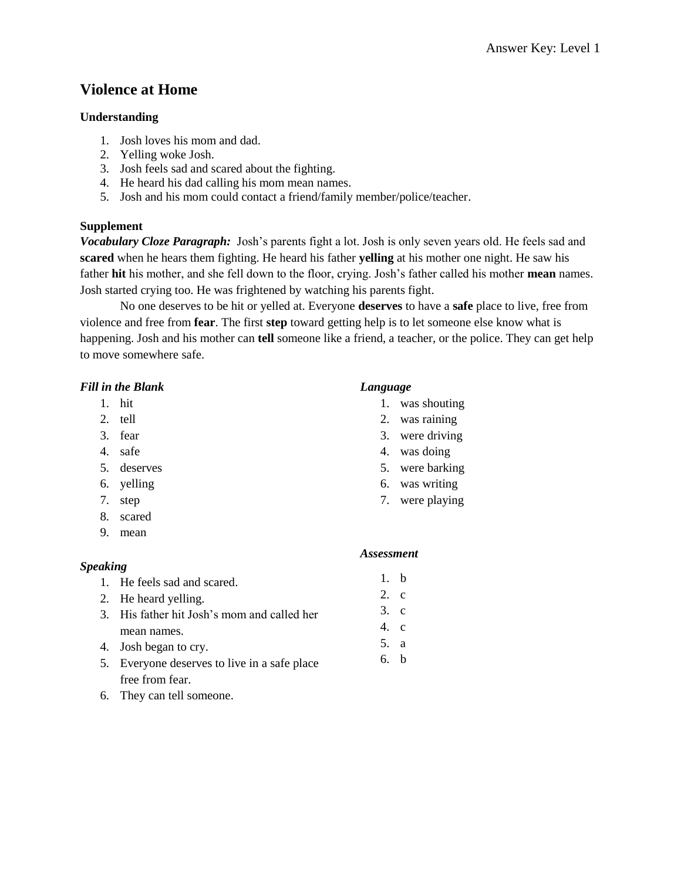# **Violence at Home**

### **Understanding**

- 1. Josh loves his mom and dad.
- 2. Yelling woke Josh.
- 3. Josh feels sad and scared about the fighting.
- 4. He heard his dad calling his mom mean names.
- 5. Josh and his mom could contact a friend/family member/police/teacher.

# **Supplement**

*Vocabulary Cloze Paragraph:* Josh's parents fight a lot. Josh is only seven years old. He feels sad and **scared** when he hears them fighting. He heard his father **yelling** at his mother one night. He saw his father **hit** his mother, and she fell down to the floor, crying. Josh's father called his mother **mean** names. Josh started crying too. He was frightened by watching his parents fight.

No one deserves to be hit or yelled at. Everyone **deserves** to have a **safe** place to live, free from violence and free from **fear**. The first **step** toward getting help is to let someone else know what is happening. Josh and his mother can **tell** someone like a friend, a teacher, or the police. They can get help to move somewhere safe.

### *Fill in the Blank*

- 1. hit
- 2. tell
- 3. fear
- 4. safe
- 5. deserves
- 6. yelling
- 7. step
- 8. scared
- 9. mean

# *Speaking*

- 1. He feels sad and scared.
- 2. He heard yelling.
- 3. His father hit Josh's mom and called her mean names.
- 4. Josh began to cry.
- 5. Everyone deserves to live in a safe place free from fear.
- 6. They can tell someone.

#### *Language*

- 1. was shouting
- 2. was raining
- 3. were driving
- 4. was doing
- 5. were barking
- 6. was writing
- 7. were playing

### *Assessment*

1. b 2. c 3. c 4. c 5. a 6. b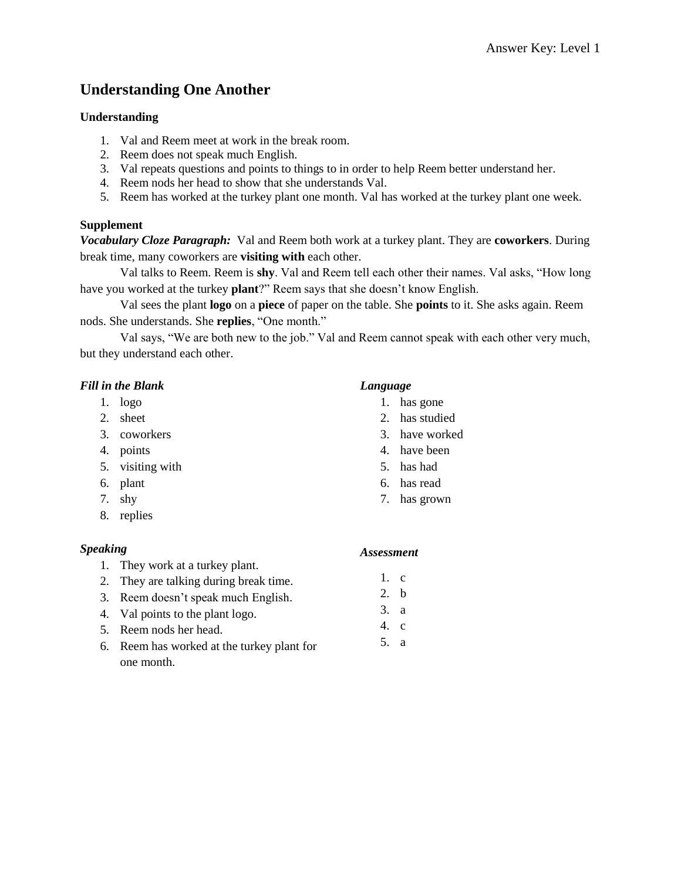# **Understanding One Another**

#### **Understanding**

- 1. Val and Reem meet at work in the break room.
- 2. Reem does not speak much English.
- 3. Val repeats questions and points to things to in order to help Reem better understand her.
- 4. Reem nods her head to show that she understands Val.
- 5. Reem has worked at the turkey plant one month. Val has worked at the turkey plant one week.

#### **Supplement**

*Vocabulary Cloze Paragraph:* Val and Reem both work at a turkey plant. They are **coworkers**. During break time, many coworkers are **visiting with** each other.

Val talks to Reem. Reem is **shy**. Val and Reem tell each other their names. Val asks, "How long have you worked at the turkey **plant**?" Reem says that she doesn't know English.

Val sees the plant **logo** on a **piece** of paper on the table. She **points** to it. She asks again. Reem nods. She understands. She **replies**, "One month."

Val says, "We are both new to the job." Val and Reem cannot speak with each other very much, but they understand each other.

#### *Fill in the Blank*

- 1. logo
- 2. sheet
- 3. coworkers
- 4. points
- 5. visiting with
- 6. plant
- 7. shy
- 8. replies

#### *Speaking*

- 1. They work at a turkey plant.
- 2. They are talking during break time.
- 3. Reem doesn't speak much English.
- 4. Val points to the plant logo.
- 5. Reem nods her head.
- 6. Reem has worked at the turkey plant for one month.

#### *Language*

- 1. has gone
- 2. has studied
- 3. have worked
- 4. have been
- 5. has had
- 6. has read
- 7. has grown

#### *Assessment*

1. c 2. b 3. a 4. c 5. a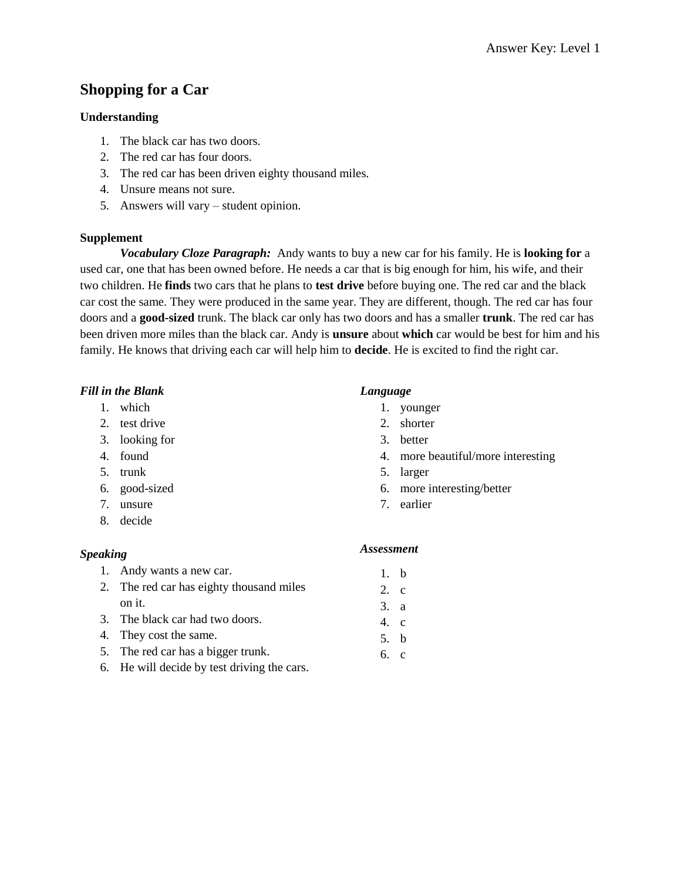# **Shopping for a Car**

### **Understanding**

- 1. The black car has two doors.
- 2. The red car has four doors.
- 3. The red car has been driven eighty thousand miles.
- 4. Unsure means not sure.
- 5. Answers will vary student opinion.

### **Supplement**

*Vocabulary Cloze Paragraph:* Andy wants to buy a new car for his family. He is **looking for** a used car, one that has been owned before. He needs a car that is big enough for him, his wife, and their two children. He **finds** two cars that he plans to **test drive** before buying one. The red car and the black car cost the same. They were produced in the same year. They are different, though. The red car has four doors and a **good-sized** trunk. The black car only has two doors and has a smaller **trunk**. The red car has been driven more miles than the black car. Andy is **unsure** about **which** car would be best for him and his family. He knows that driving each car will help him to **decide**. He is excited to find the right car.

# *Fill in the Blank*

- 1. which
- 2. test drive
- 3. looking for
- 4. found
- 5. trunk
- 6. good-sized
- 7. unsure
- 8. decide

### *Speaking*

- 1. Andy wants a new car.
- 2. The red car has eighty thousand miles on it.
- 3. The black car had two doors.
- 4. They cost the same.
- 5. The red car has a bigger trunk.
- 6. He will decide by test driving the cars.

#### *Language*

- 1. younger
- 2. shorter
- 3. better
- 4. more beautiful/more interesting
- 5. larger
- 6. more interesting/better
- 7. earlier

#### *Assessment*

1. b 2. c 3. a 4. c 5. b 6. c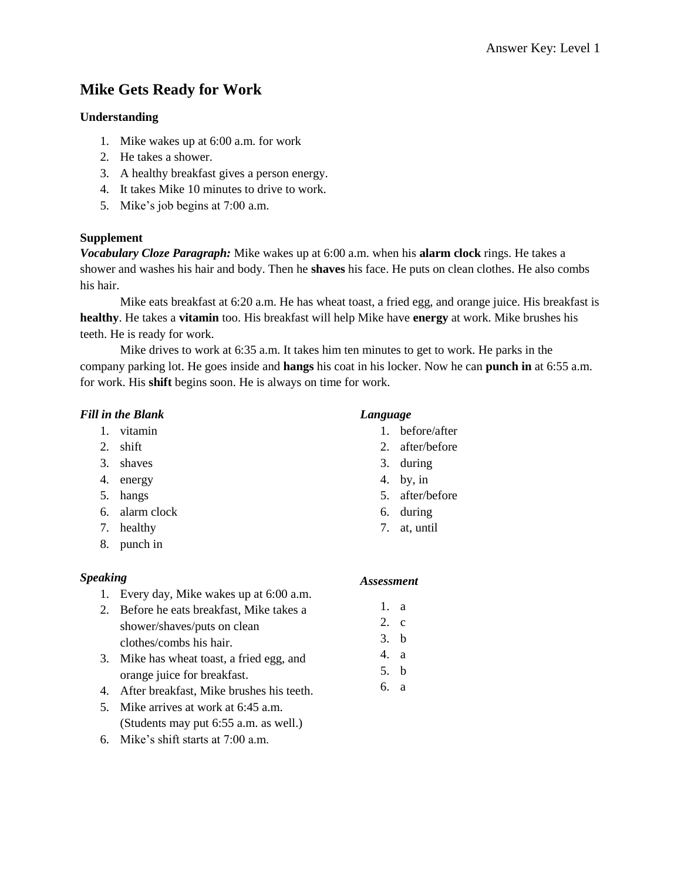# **Mike Gets Ready for Work**

### **Understanding**

- 1. Mike wakes up at 6:00 a.m. for work
- 2. He takes a shower.
- 3. A healthy breakfast gives a person energy.
- 4. It takes Mike 10 minutes to drive to work.
- 5. Mike's job begins at 7:00 a.m.

# **Supplement**

*Vocabulary Cloze Paragraph:* Mike wakes up at 6:00 a.m. when his **alarm clock** rings. He takes a shower and washes his hair and body. Then he **shaves** his face. He puts on clean clothes. He also combs his hair.

Mike eats breakfast at 6:20 a.m. He has wheat toast, a fried egg, and orange juice. His breakfast is **healthy**. He takes a **vitamin** too. His breakfast will help Mike have **energy** at work. Mike brushes his teeth. He is ready for work.

Mike drives to work at 6:35 a.m. It takes him ten minutes to get to work. He parks in the company parking lot. He goes inside and **hangs** his coat in his locker. Now he can **punch in** at 6:55 a.m. for work. His **shift** begins soon. He is always on time for work.

# *Fill in the Blank*

- 1. vitamin
- 2. shift
- 3. shaves
- 4. energy
- 5. hangs
- 6. alarm clock
- 7. healthy
- 8. punch in

# *Speaking*

- 1. Every day, Mike wakes up at 6:00 a.m.
- 2. Before he eats breakfast, Mike takes a shower/shaves/puts on clean clothes/combs his hair.
- 3. Mike has wheat toast, a fried egg, and orange juice for breakfast.
- 4. After breakfast, Mike brushes his teeth.
- 5. Mike arrives at work at 6:45 a.m. (Students may put 6:55 a.m. as well.)
- 6. Mike's shift starts at 7:00 a.m.

### *Language*

- 1. before/after
- 2. after/before
- 3. during
- 4. by, in
- 5. after/before
- 6. during
- 7. at, until

- 1. a
- 2. c
- 3. b
- 4. a
- 5. b
- 6. a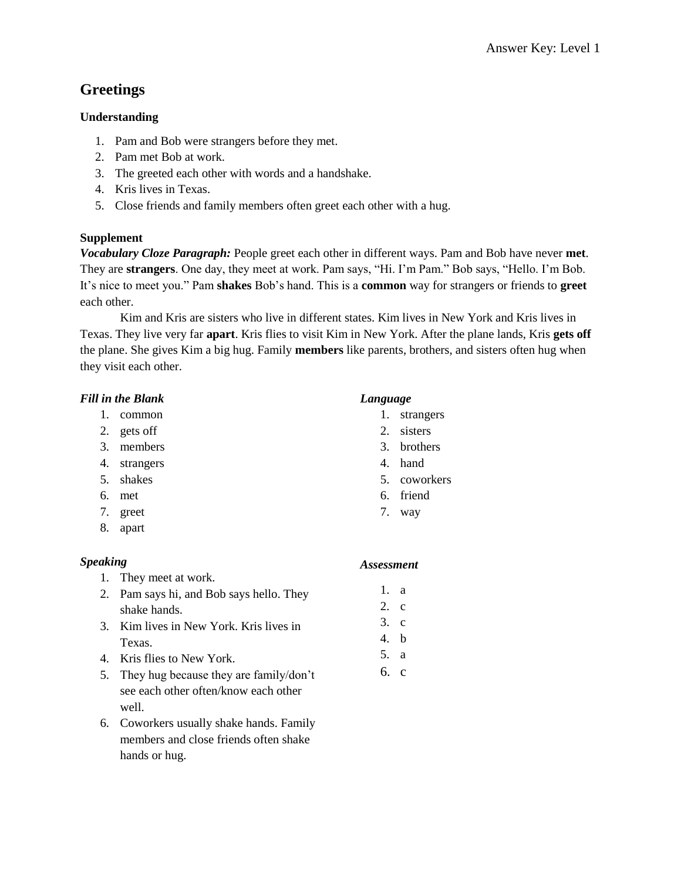# **Greetings**

# **Understanding**

- 1. Pam and Bob were strangers before they met.
- 2. Pam met Bob at work.
- 3. The greeted each other with words and a handshake.
- 4. Kris lives in Texas.
- 5. Close friends and family members often greet each other with a hug.

# **Supplement**

*Vocabulary Cloze Paragraph:* People greet each other in different ways. Pam and Bob have never **met**. They are **strangers**. One day, they meet at work. Pam says, "Hi. I'm Pam." Bob says, "Hello. I'm Bob. It's nice to meet you." Pam **shakes** Bob's hand. This is a **common** way for strangers or friends to **greet** each other.

Kim and Kris are sisters who live in different states. Kim lives in New York and Kris lives in Texas. They live very far **apart**. Kris flies to visit Kim in New York. After the plane lands, Kris **gets off** the plane. She gives Kim a big hug. Family **members** like parents, brothers, and sisters often hug when they visit each other.

# *Fill in the Blank*

- 1. common
- 2. gets off
- 3. members
- 4. strangers
- 5. shakes
- 6. met
- 7. greet
- 8. apart

# *Speaking*

- 1. They meet at work.
- 2. Pam says hi, and Bob says hello. They shake hands.
- 3. Kim lives in New York. Kris lives in Texas.
- 4. Kris flies to New York.
- 5. They hug because they are family/don't see each other often/know each other well.
- 6. Coworkers usually shake hands. Family members and close friends often shake hands or hug.

### *Language*

- 1. strangers
- 2. sisters
- 3. brothers
- 4. hand
- 5. coworkers
- 6. friend
- 7. way

#### *Assessment*

1. a 2. c

- 3. c
- 4. b
- 5. a
- 6. c